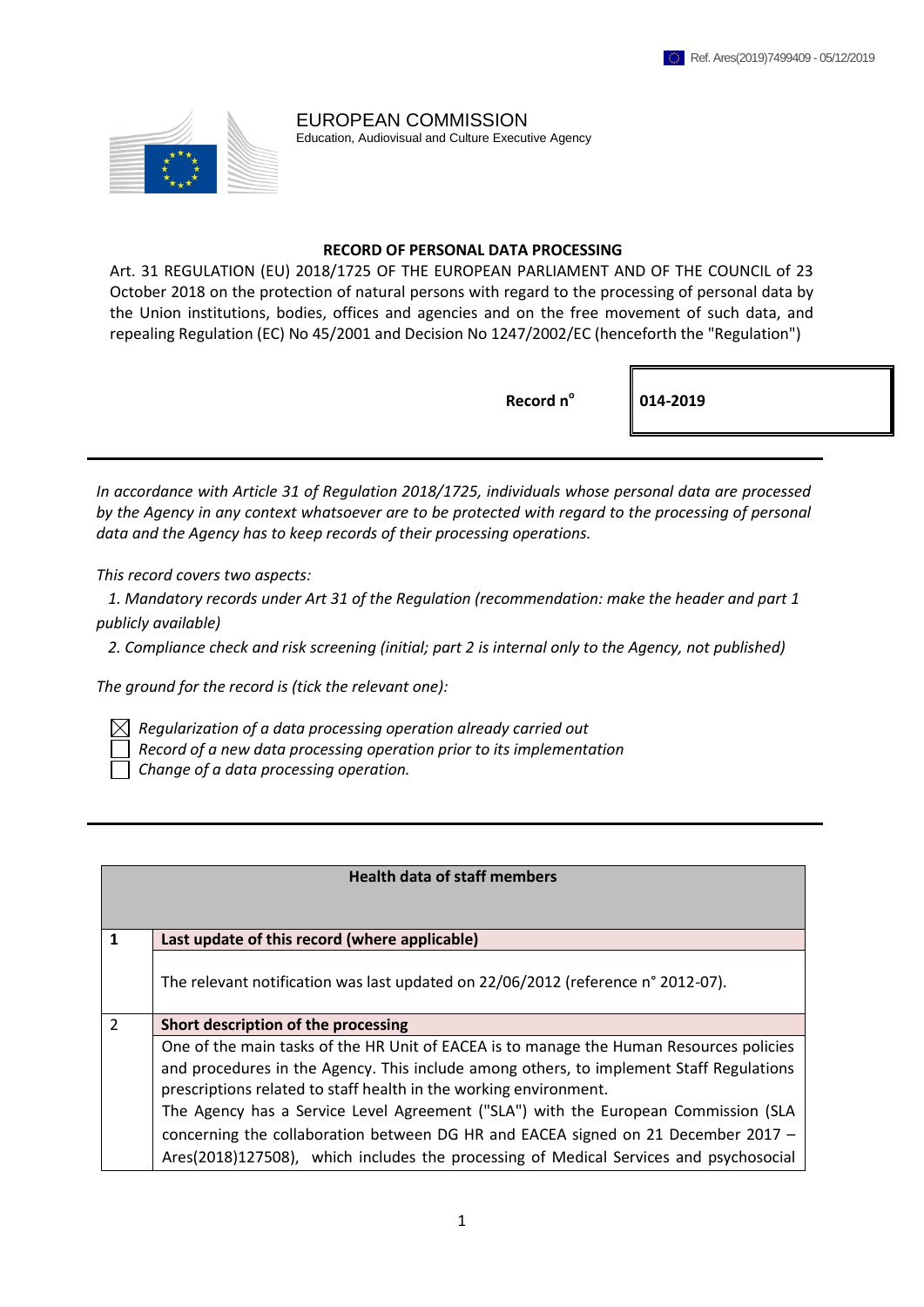EUROPEAN COMMISSION Education, Audiovisual and Culture Executive Agency

#### **RECORD OF PERSONAL DATA PROCESSING**

Art. 31 REGULATION (EU) 2018/1725 OF THE EUROPEAN PARLIAMENT AND OF THE COUNCIL of 23 October 2018 on the protection of natural persons with regard to the processing of personal data by the Union institutions, bodies, offices and agencies and on the free movement of such data, and repealing Regulation (EC) No 45/2001 and Decision No 1247/2002/EC (henceforth the "Regulation")

**Record n<sup>o</sup>**

**014-2019**

*In accordance with Article 31 of Regulation 2018/1725, individuals whose personal data are processed by the Agency in any context whatsoever are to be protected with regard to the processing of personal data and the Agency has to keep records of their processing operations.*

*This record covers two aspects:*

 *1. Mandatory records under Art 31 of the Regulation (recommendation: make the header and part 1 publicly available)*

 *2. Compliance check and risk screening (initial; part 2 is internal only to the Agency, not published)*

*The ground for the record is (tick the relevant one):*

 $\boxtimes$  Regularization of a data processing operation already carried out

 *Record of a new data processing operation prior to its implementation*

 *Change of a data processing operation.*

| <b>Health data of staff members</b> |                                                                                         |
|-------------------------------------|-----------------------------------------------------------------------------------------|
|                                     |                                                                                         |
| 1                                   | Last update of this record (where applicable)                                           |
|                                     | The relevant notification was last updated on 22/06/2012 (reference n° 2012-07).        |
| $\overline{\phantom{a}}$            | Short description of the processing                                                     |
|                                     | One of the main tasks of the HR Unit of EACEA is to manage the Human Resources policies |
|                                     | and procedures in the Agency. This include among others, to implement Staff Regulations |
|                                     | prescriptions related to staff health in the working environment.                       |
|                                     | The Agency has a Service Level Agreement ("SLA") with the European Commission (SLA      |
|                                     | concerning the collaboration between DG HR and EACEA signed on 21 December 2017 $-$     |
|                                     | Ares(2018)127508), which includes the processing of Medical Services and psychosocial   |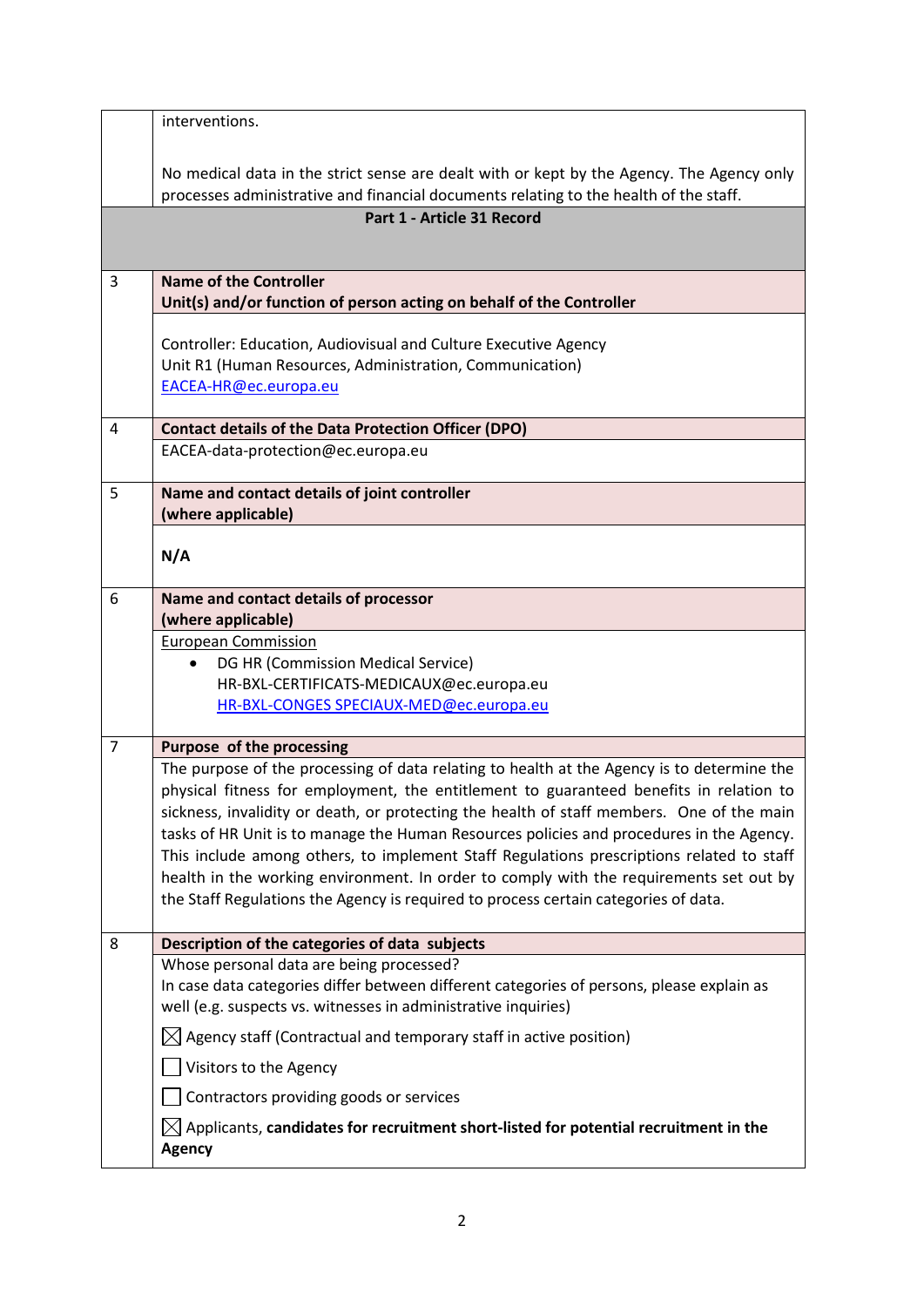|                | interventions.                                                                                                                                                                |
|----------------|-------------------------------------------------------------------------------------------------------------------------------------------------------------------------------|
|                |                                                                                                                                                                               |
|                | No medical data in the strict sense are dealt with or kept by the Agency. The Agency only                                                                                     |
|                | processes administrative and financial documents relating to the health of the staff.                                                                                         |
|                | Part 1 - Article 31 Record                                                                                                                                                    |
|                |                                                                                                                                                                               |
| 3              | <b>Name of the Controller</b>                                                                                                                                                 |
|                | Unit(s) and/or function of person acting on behalf of the Controller                                                                                                          |
|                |                                                                                                                                                                               |
|                | Controller: Education, Audiovisual and Culture Executive Agency<br>Unit R1 (Human Resources, Administration, Communication)                                                   |
|                | EACEA-HR@ec.europa.eu                                                                                                                                                         |
|                |                                                                                                                                                                               |
| 4              | <b>Contact details of the Data Protection Officer (DPO)</b>                                                                                                                   |
|                | EACEA-data-protection@ec.europa.eu                                                                                                                                            |
| 5              | Name and contact details of joint controller                                                                                                                                  |
|                | (where applicable)                                                                                                                                                            |
|                |                                                                                                                                                                               |
|                | N/A                                                                                                                                                                           |
| 6              | Name and contact details of processor                                                                                                                                         |
|                | (where applicable)                                                                                                                                                            |
|                | <b>European Commission</b>                                                                                                                                                    |
|                | DG HR (Commission Medical Service)<br>$\bullet$                                                                                                                               |
|                | HR-BXL-CERTIFICATS-MEDICAUX@ec.europa.eu                                                                                                                                      |
|                | HR-BXL-CONGES SPECIAUX-MED@ec.europa.eu                                                                                                                                       |
| $\overline{7}$ | Purpose of the processing                                                                                                                                                     |
|                | The purpose of the processing of data relating to health at the Agency is to determine the                                                                                    |
|                | physical fitness for employment, the entitlement to guaranteed benefits in relation to                                                                                        |
|                | sickness, invalidity or death, or protecting the health of staff members. One of the main                                                                                     |
|                | tasks of HR Unit is to manage the Human Resources policies and procedures in the Agency.                                                                                      |
|                | This include among others, to implement Staff Regulations prescriptions related to staff                                                                                      |
|                | health in the working environment. In order to comply with the requirements set out by<br>the Staff Regulations the Agency is required to process certain categories of data. |
|                |                                                                                                                                                                               |
| 8              | Description of the categories of data subjects                                                                                                                                |
|                | Whose personal data are being processed?                                                                                                                                      |
|                | In case data categories differ between different categories of persons, please explain as                                                                                     |
|                | well (e.g. suspects vs. witnesses in administrative inquiries)                                                                                                                |
|                | $\boxtimes$ Agency staff (Contractual and temporary staff in active position)                                                                                                 |
|                | Visitors to the Agency                                                                                                                                                        |
|                | Contractors providing goods or services                                                                                                                                       |
|                | $\boxtimes$ Applicants, <b>candidates for recruitment short-listed for potential recruitment in the</b>                                                                       |
|                | <b>Agency</b>                                                                                                                                                                 |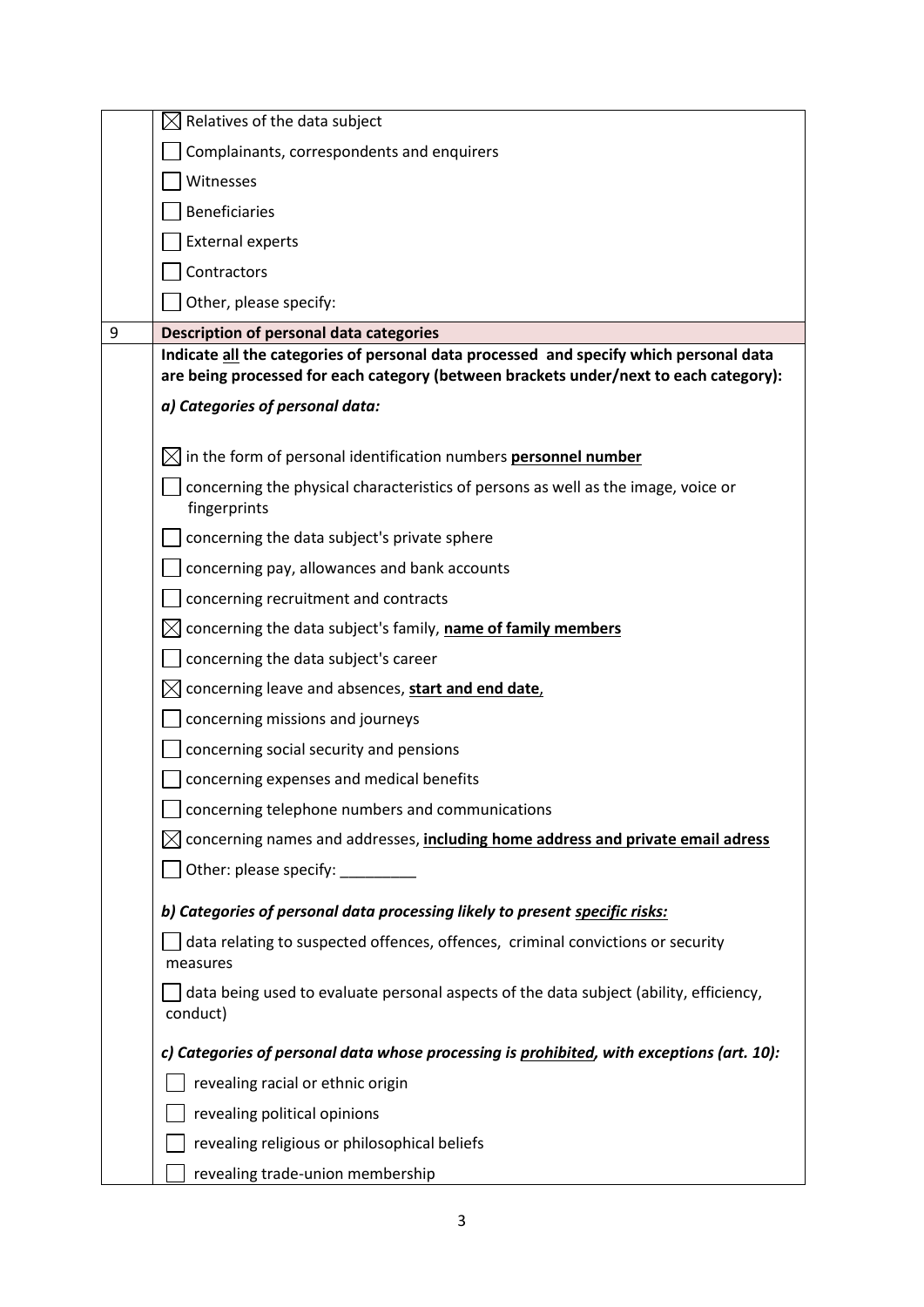|   | Relatives of the data subject                                                                                                                                                   |
|---|---------------------------------------------------------------------------------------------------------------------------------------------------------------------------------|
|   | Complainants, correspondents and enquirers                                                                                                                                      |
|   | Witnesses                                                                                                                                                                       |
|   | <b>Beneficiaries</b>                                                                                                                                                            |
|   | <b>External experts</b>                                                                                                                                                         |
|   | Contractors                                                                                                                                                                     |
|   | Other, please specify:                                                                                                                                                          |
| 9 | <b>Description of personal data categories</b>                                                                                                                                  |
|   | Indicate all the categories of personal data processed and specify which personal data<br>are being processed for each category (between brackets under/next to each category): |
|   | a) Categories of personal data:                                                                                                                                                 |
|   | in the form of personal identification numbers personnel number                                                                                                                 |
|   | concerning the physical characteristics of persons as well as the image, voice or<br>fingerprints                                                                               |
|   | concerning the data subject's private sphere                                                                                                                                    |
|   | concerning pay, allowances and bank accounts                                                                                                                                    |
|   | concerning recruitment and contracts                                                                                                                                            |
|   | concerning the data subject's family, name of family members                                                                                                                    |
|   | concerning the data subject's career                                                                                                                                            |
|   | concerning leave and absences, start and end date,<br>IX.                                                                                                                       |
|   | concerning missions and journeys                                                                                                                                                |
|   | concerning social security and pensions                                                                                                                                         |
|   | concerning expenses and medical benefits                                                                                                                                        |
|   | $\Box$ concerning telephone numbers and communications                                                                                                                          |
|   | concerning names and addresses, including home address and private email adress                                                                                                 |
|   | Other: please specify:                                                                                                                                                          |
|   | b) Categories of personal data processing likely to present specific risks:                                                                                                     |
|   | data relating to suspected offences, offences, criminal convictions or security<br>measures                                                                                     |
|   | data being used to evaluate personal aspects of the data subject (ability, efficiency,<br>conduct)                                                                              |
|   | c) Categories of personal data whose processing is prohibited, with exceptions (art. 10):                                                                                       |
|   | revealing racial or ethnic origin                                                                                                                                               |
|   | revealing political opinions                                                                                                                                                    |
|   | revealing religious or philosophical beliefs                                                                                                                                    |
|   | revealing trade-union membership                                                                                                                                                |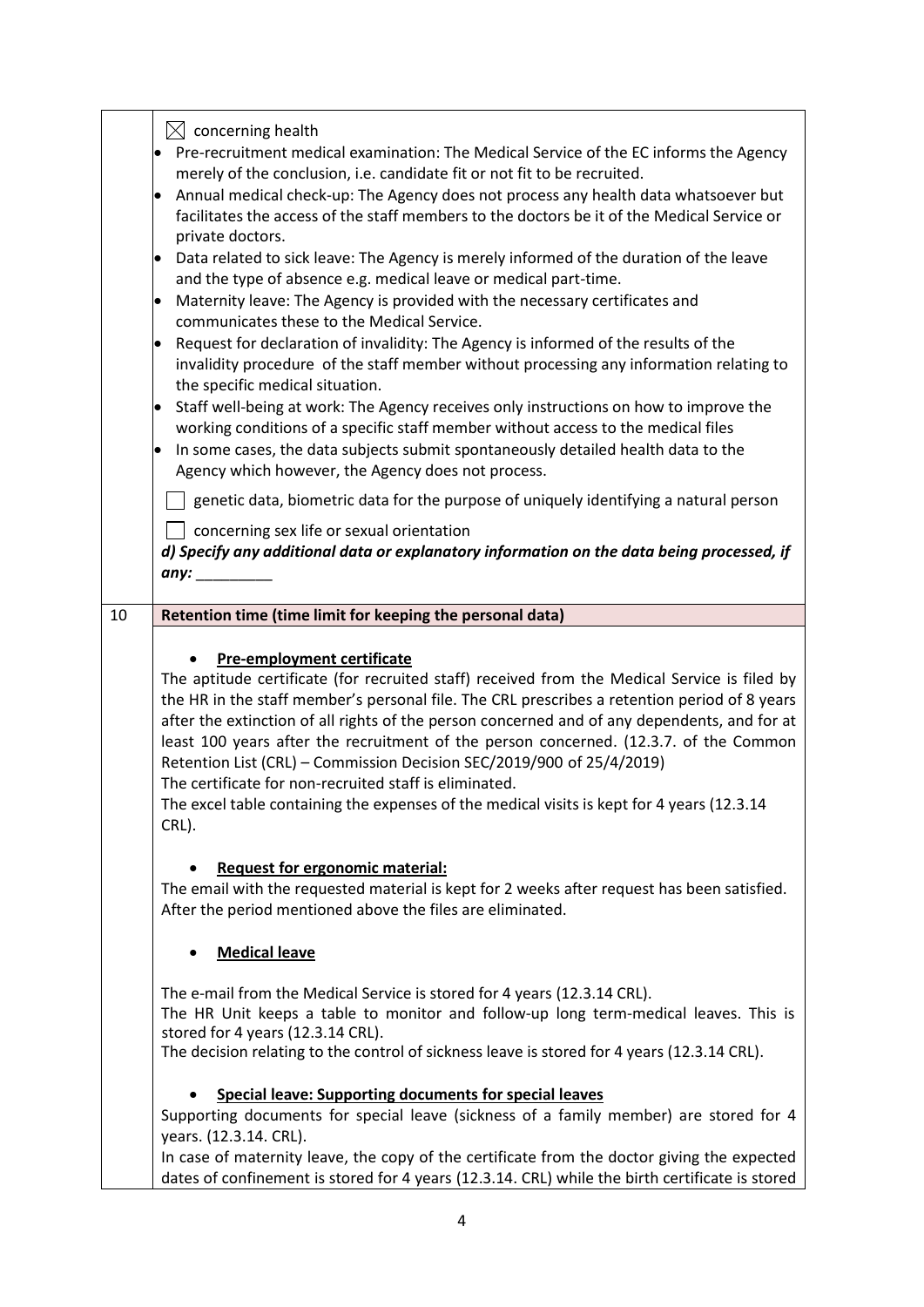|    | $\bowtie$ concerning health<br>Pre-recruitment medical examination: The Medical Service of the EC informs the Agency<br>merely of the conclusion, i.e. candidate fit or not fit to be recruited.<br>Annual medical check-up: The Agency does not process any health data whatsoever but<br>$\bullet$<br>facilitates the access of the staff members to the doctors be it of the Medical Service or<br>private doctors.<br>Data related to sick leave: The Agency is merely informed of the duration of the leave<br>$\bullet$<br>and the type of absence e.g. medical leave or medical part-time.<br>Maternity leave: The Agency is provided with the necessary certificates and<br>communicates these to the Medical Service.<br>Request for declaration of invalidity: The Agency is informed of the results of the<br>$\bullet$<br>invalidity procedure of the staff member without processing any information relating to<br>the specific medical situation.<br>Staff well-being at work: The Agency receives only instructions on how to improve the<br>$\bullet$<br>working conditions of a specific staff member without access to the medical files<br>In some cases, the data subjects submit spontaneously detailed health data to the<br>Agency which however, the Agency does not process.<br>genetic data, biometric data for the purpose of uniquely identifying a natural person<br>concerning sex life or sexual orientation<br>d) Specify any additional data or explanatory information on the data being processed, if<br>any: $\_\_$ |
|----|----------------------------------------------------------------------------------------------------------------------------------------------------------------------------------------------------------------------------------------------------------------------------------------------------------------------------------------------------------------------------------------------------------------------------------------------------------------------------------------------------------------------------------------------------------------------------------------------------------------------------------------------------------------------------------------------------------------------------------------------------------------------------------------------------------------------------------------------------------------------------------------------------------------------------------------------------------------------------------------------------------------------------------------------------------------------------------------------------------------------------------------------------------------------------------------------------------------------------------------------------------------------------------------------------------------------------------------------------------------------------------------------------------------------------------------------------------------------------------------------------------------------------------------------------------|
| 10 | Retention time (time limit for keeping the personal data)                                                                                                                                                                                                                                                                                                                                                                                                                                                                                                                                                                                                                                                                                                                                                                                                                                                                                                                                                                                                                                                                                                                                                                                                                                                                                                                                                                                                                                                                                                |
|    |                                                                                                                                                                                                                                                                                                                                                                                                                                                                                                                                                                                                                                                                                                                                                                                                                                                                                                                                                                                                                                                                                                                                                                                                                                                                                                                                                                                                                                                                                                                                                          |
|    | <b>Pre-employment certificate</b><br>The aptitude certificate (for recruited staff) received from the Medical Service is filed by<br>the HR in the staff member's personal file. The CRL prescribes a retention period of 8 years<br>after the extinction of all rights of the person concerned and of any dependents, and for at<br>least 100 years after the recruitment of the person concerned. (12.3.7. of the Common<br>Retention List (CRL) - Commission Decision SEC/2019/900 of 25/4/2019)<br>The certificate for non-recruited staff is eliminated.<br>The excel table containing the expenses of the medical visits is kept for 4 years (12.3.14<br>CRL).                                                                                                                                                                                                                                                                                                                                                                                                                                                                                                                                                                                                                                                                                                                                                                                                                                                                                     |
|    | <b>Request for ergonomic material:</b><br>The email with the requested material is kept for 2 weeks after request has been satisfied.<br>After the period mentioned above the files are eliminated.                                                                                                                                                                                                                                                                                                                                                                                                                                                                                                                                                                                                                                                                                                                                                                                                                                                                                                                                                                                                                                                                                                                                                                                                                                                                                                                                                      |
|    | <b>Medical leave</b>                                                                                                                                                                                                                                                                                                                                                                                                                                                                                                                                                                                                                                                                                                                                                                                                                                                                                                                                                                                                                                                                                                                                                                                                                                                                                                                                                                                                                                                                                                                                     |
|    | The e-mail from the Medical Service is stored for 4 years (12.3.14 CRL).<br>The HR Unit keeps a table to monitor and follow-up long term-medical leaves. This is<br>stored for 4 years (12.3.14 CRL).<br>The decision relating to the control of sickness leave is stored for 4 years (12.3.14 CRL).                                                                                                                                                                                                                                                                                                                                                                                                                                                                                                                                                                                                                                                                                                                                                                                                                                                                                                                                                                                                                                                                                                                                                                                                                                                     |
|    | <b>Special leave: Supporting documents for special leaves</b><br>Supporting documents for special leave (sickness of a family member) are stored for 4<br>years. (12.3.14. CRL).<br>In case of maternity leave, the copy of the certificate from the doctor giving the expected<br>dates of confinement is stored for 4 years (12.3.14. CRL) while the birth certificate is stored                                                                                                                                                                                                                                                                                                                                                                                                                                                                                                                                                                                                                                                                                                                                                                                                                                                                                                                                                                                                                                                                                                                                                                       |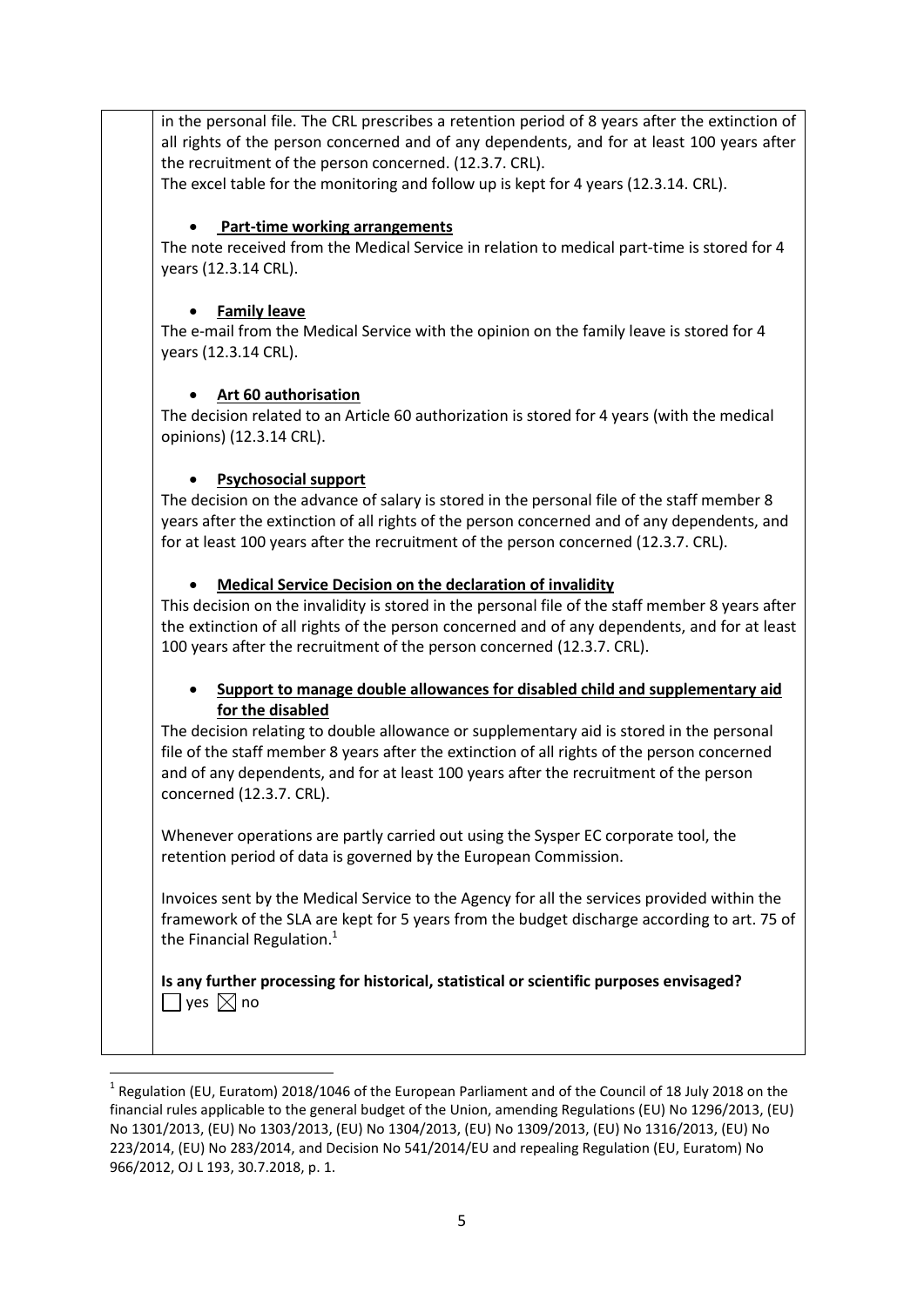in the personal file. The CRL prescribes a retention period of 8 years after the extinction of all rights of the person concerned and of any dependents, and for at least 100 years after the recruitment of the person concerned. (12.3.7. CRL).

The excel table for the monitoring and follow up is kept for 4 years (12.3.14. CRL).

### **Part-time working arrangements**

The note received from the Medical Service in relation to medical part-time is stored for 4 years (12.3.14 CRL).

## **Family leave**

The e-mail from the Medical Service with the opinion on the family leave is stored for 4 years (12.3.14 CRL).

# **Art 60 authorisation**

The decision related to an Article 60 authorization is stored for 4 years (with the medical opinions) (12.3.14 CRL).

# **Psychosocial support**

**.** 

The decision on the advance of salary is stored in the personal file of the staff member 8 years after the extinction of all rights of the person concerned and of any dependents, and for at least 100 years after the recruitment of the person concerned (12.3.7. CRL).

# **Medical Service Decision on the declaration of invalidity**

This decision on the invalidity is stored in the personal file of the staff member 8 years after the extinction of all rights of the person concerned and of any dependents, and for at least 100 years after the recruitment of the person concerned (12.3.7. CRL).

### **Support to manage double allowances for disabled child and supplementary aid for the disabled**

The decision relating to double allowance or supplementary aid is stored in the personal file of the staff member 8 years after the extinction of all rights of the person concerned and of any dependents, and for at least 100 years after the recruitment of the person concerned (12.3.7. CRL).

Whenever operations are partly carried out using the Sysper EC corporate tool, the retention period of data is governed by the European Commission.

Invoices sent by the Medical Service to the Agency for all the services provided within the framework of the SLA are kept for 5 years from the budget discharge according to art. 75 of the Financial Regulation. $<sup>1</sup>$ </sup>

### **Is any further processing for historical, statistical or scientific purposes envisaged?**   $\Box$  yes  $\boxtimes$  no

<sup>&</sup>lt;sup>1</sup> Regulation (EU, Euratom) 2018/1046 of the European Parliament and of the Council of 18 July 2018 on the financial rules applicable to the general budget of the Union, amending Regulations (EU) No 1296/2013, (EU) No 1301/2013, (EU) No 1303/2013, (EU) No 1304/2013, (EU) No 1309/2013, (EU) No 1316/2013, (EU) No 223/2014, (EU) No 283/2014, and Decision No 541/2014/EU and repealing Regulation (EU, Euratom) No 966/2012, OJ L 193, 30.7.2018, p. 1.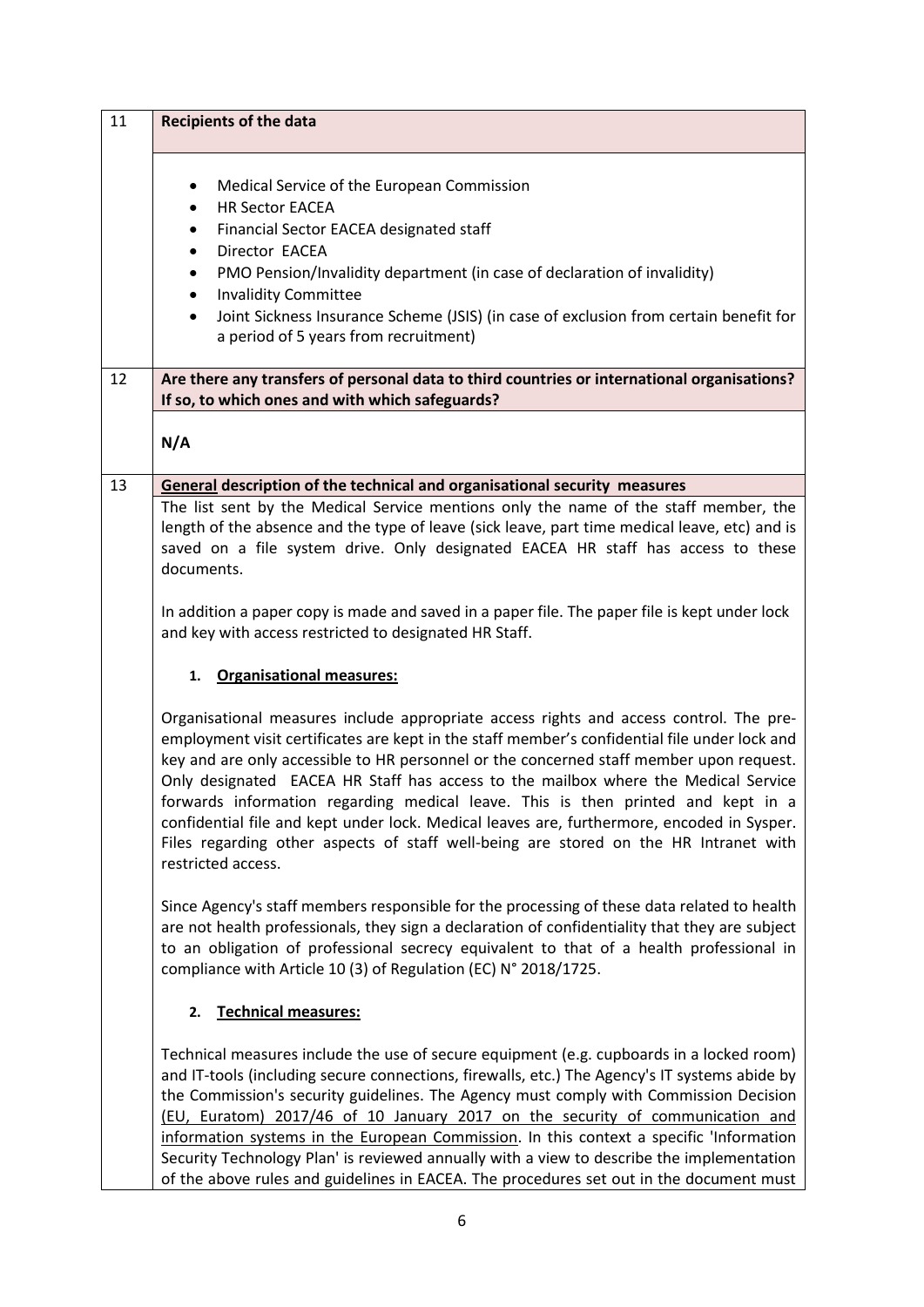| 11 | <b>Recipients of the data</b>                                                                                                                                                                                                                                                                                                                                                                                                                                                                                                                                                                                                                                            |
|----|--------------------------------------------------------------------------------------------------------------------------------------------------------------------------------------------------------------------------------------------------------------------------------------------------------------------------------------------------------------------------------------------------------------------------------------------------------------------------------------------------------------------------------------------------------------------------------------------------------------------------------------------------------------------------|
|    | Medical Service of the European Commission<br><b>HR Sector EACEA</b><br>٠<br>Financial Sector EACEA designated staff<br>٠<br>Director EACEA<br>PMO Pension/Invalidity department (in case of declaration of invalidity)<br>$\bullet$<br><b>Invalidity Committee</b><br>$\bullet$<br>Joint Sickness Insurance Scheme (JSIS) (in case of exclusion from certain benefit for<br>$\bullet$<br>a period of 5 years from recruitment)                                                                                                                                                                                                                                          |
| 12 | Are there any transfers of personal data to third countries or international organisations?<br>If so, to which ones and with which safeguards?                                                                                                                                                                                                                                                                                                                                                                                                                                                                                                                           |
|    | N/A                                                                                                                                                                                                                                                                                                                                                                                                                                                                                                                                                                                                                                                                      |
| 13 | General description of the technical and organisational security measures<br>The list sent by the Medical Service mentions only the name of the staff member, the<br>length of the absence and the type of leave (sick leave, part time medical leave, etc) and is<br>saved on a file system drive. Only designated EACEA HR staff has access to these<br>documents.<br>In addition a paper copy is made and saved in a paper file. The paper file is kept under lock<br>and key with access restricted to designated HR Staff.                                                                                                                                          |
|    | 1. Organisational measures:                                                                                                                                                                                                                                                                                                                                                                                                                                                                                                                                                                                                                                              |
|    | Organisational measures include appropriate access rights and access control. The pre-<br>employment visit certificates are kept in the staff member's confidential file under lock and<br>key and are only accessible to HR personnel or the concerned staff member upon request.<br>Only designated EACEA HR Staff has access to the mailbox where the Medical Service<br>forwards information regarding medical leave. This is then printed and kept in a<br>confidential file and kept under lock. Medical leaves are, furthermore, encoded in Sysper.<br>Files regarding other aspects of staff well-being are stored on the HR Intranet with<br>restricted access. |
|    | Since Agency's staff members responsible for the processing of these data related to health<br>are not health professionals, they sign a declaration of confidentiality that they are subject<br>to an obligation of professional secrecy equivalent to that of a health professional in<br>compliance with Article 10 (3) of Regulation (EC) N° 2018/1725.                                                                                                                                                                                                                                                                                                              |
|    | <b>Technical measures:</b><br>2.                                                                                                                                                                                                                                                                                                                                                                                                                                                                                                                                                                                                                                         |
|    | Technical measures include the use of secure equipment (e.g. cupboards in a locked room)<br>and IT-tools (including secure connections, firewalls, etc.) The Agency's IT systems abide by<br>the Commission's security guidelines. The Agency must comply with Commission Decision<br>(EU, Euratom) 2017/46 of 10 January 2017 on the security of communication and<br>information systems in the European Commission. In this context a specific 'Information<br>Security Technology Plan' is reviewed annually with a view to describe the implementation<br>of the above rules and guidelines in EACEA. The procedures set out in the document must                   |